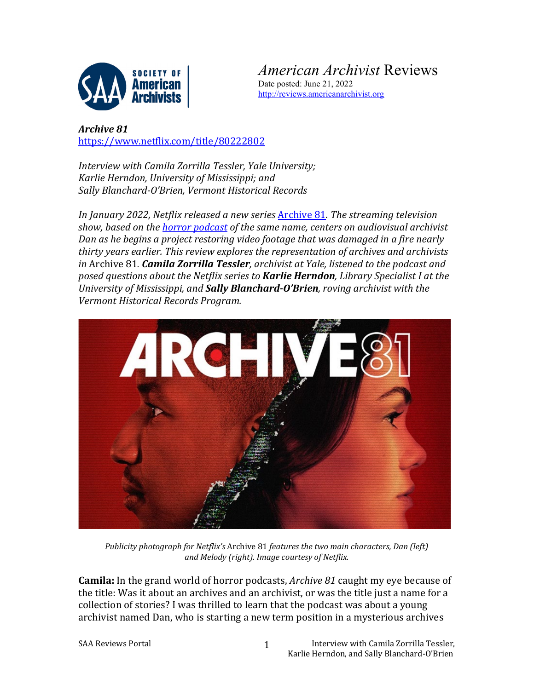

*American Archivist* Reviews Date posted: June 21, 2022

[http://reviews.americanarchivist.org](http://reviews.americanarchivist.org/)

*Archive 81* <https://www.netflix.com/title/80222802>

*Interview with Camila Zorrilla Tessler, Yale University; Karlie Herndon, University of Mississippi; and Sally Blanchard-O'Brien, Vermont Historical Records*

*In January 2022, Netflix released a new series* [Archive 81](https://www.netflix.com/title/80222802)*. The streaming television show, based on the [horror podcast](http://www.archive81.com/) of the same name, centers on audiovisual archivist Dan as he begins a project restoring video footage that was damaged in a fire nearly thirty years earlier. This review explores the representation of archives and archivists in* Archive 81*. Camila Zorrilla Tessler, archivist at Yale, listened to the podcast and posed questions about the Netflix series to Karlie Herndon, Library Specialist I at the University of Mississippi, and Sally Blanchard-O'Brien, roving archivist with the Vermont Historical Records Program.*



*Publicity photograph for Netflix's* Archive 81 *features the two main characters, Dan (left) and Melody (right). Image courtesy of Netflix.*

**Camila:** In the grand world of horror podcasts, *Archive 81* caught my eye because of the title: Was it about an archives and an archivist, or was the title just a name for a collection of stories? I was thrilled to learn that the podcast was about a young archivist named Dan, who is starting a new term position in a mysterious archives

1

SAA Reviews Portal **Interview With Camila Zorrilla Tessler**, Karlie Herndon, and Sally Blanchard-O'Brien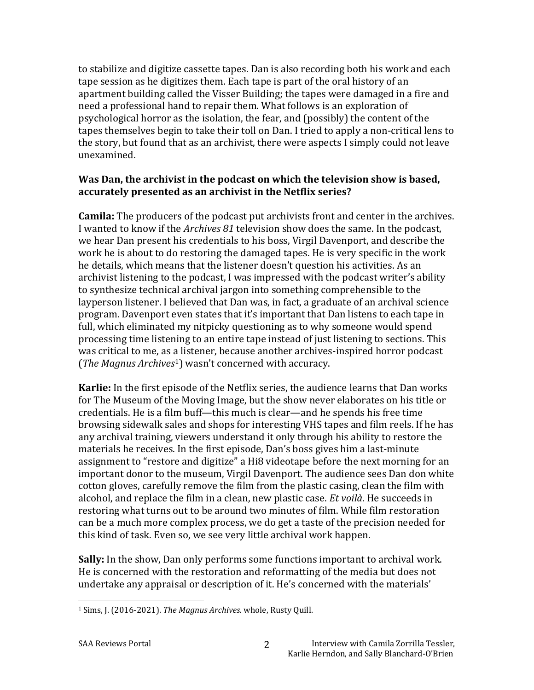to stabilize and digitize cassette tapes. Dan is also recording both his work and each tape session as he digitizes them. Each tape is part of the oral history of an apartment building called the Visser Building; the tapes were damaged in a fire and need a professional hand to repair them. What follows is an exploration of psychological horror as the isolation, the fear, and (possibly) the content of the tapes themselves begin to take their toll on Dan. I tried to apply a non-critical lens to the story, but found that as an archivist, there were aspects I simply could not leave unexamined.

## **Was Dan, the archivist in the podcast on which the television show is based, accurately presented as an archivist in the Netflix series?**

**Camila:** The producers of the podcast put archivists front and center in the archives. I wanted to know if the *Archives 81* television show does the same. In the podcast, we hear Dan present his credentials to his boss, Virgil Davenport, and describe the work he is about to do restoring the damaged tapes. He is very specific in the work he details, which means that the listener doesn't question his activities. As an archivist listening to the podcast, I was impressed with the podcast writer's ability to synthesize technical archival jargon into something comprehensible to the layperson listener. I believed that Dan was, in fact, a graduate of an archival science program. Davenport even states that it's important that Dan listens to each tape in full, which eliminated my nitpicky questioning as to why someone would spend processing time listening to an entire tape instead of just listening to sections. This was critical to me, as a listener, because another archives-inspired horror podcast (*The Magnus Archives*[1](#page-1-0)) wasn't concerned with accuracy.

**Karlie:** In the first episode of the Netflix series, the audience learns that Dan works for The Museum of the Moving Image, but the show never elaborates on his title or credentials. He is a film buff—this much is clear—and he spends his free time browsing sidewalk sales and shops for interesting VHS tapes and film reels. If he has any archival training, viewers understand it only through his ability to restore the materials he receives. In the first episode, Dan's boss gives him a last-minute assignment to "restore and digitize" a Hi8 videotape before the next morning for an important donor to the museum, Virgil Davenport. The audience sees Dan don white cotton gloves, carefully remove the film from the plastic casing, clean the film with alcohol, and replace the film in a clean, new plastic case. *Et voilà*. He succeeds in restoring what turns out to be around two minutes of film. While film restoration can be a much more complex process, we do get a taste of the precision needed for this kind of task. Even so, we see very little archival work happen.

**Sally:** In the show, Dan only performs some functions important to archival work. He is concerned with the restoration and reformatting of the media but does not undertake any appraisal or description of it. He's concerned with the materials'

<span id="page-1-0"></span><sup>1</sup> Sims, J. (2016-2021). *The Magnus Archives*. whole, Rusty Quill.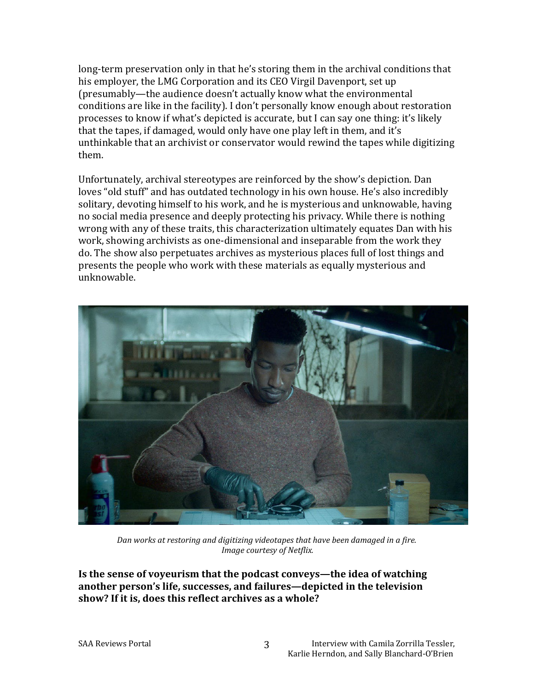long-term preservation only in that he's storing them in the archival conditions that his employer, the LMG Corporation and its CEO Virgil Davenport, set up (presumably—the audience doesn't actually know what the environmental conditions are like in the facility). I don't personally know enough about restoration processes to know if what's depicted is accurate, but I can say one thing: it's likely that the tapes, if damaged, would only have one play left in them, and it's unthinkable that an archivist or conservator would rewind the tapes while digitizing them.

Unfortunately, archival stereotypes are reinforced by the show's depiction. Dan loves "old stuff" and has outdated technology in his own house. He's also incredibly solitary, devoting himself to his work, and he is mysterious and unknowable, having no social media presence and deeply protecting his privacy. While there is nothing wrong with any of these traits, this characterization ultimately equates Dan with his work, showing archivists as one-dimensional and inseparable from the work they do. The show also perpetuates archives as mysterious places full of lost things and presents the people who work with these materials as equally mysterious and unknowable.



*Dan works at restoring and digitizing videotapes that have been damaged in a fire. Image courtesy of Netflix.*

3

**Is the sense of voyeurism that the podcast conveys—the idea of watching another person's life, successes, and failures—depicted in the television show? If it is, does this reflect archives as a whole?**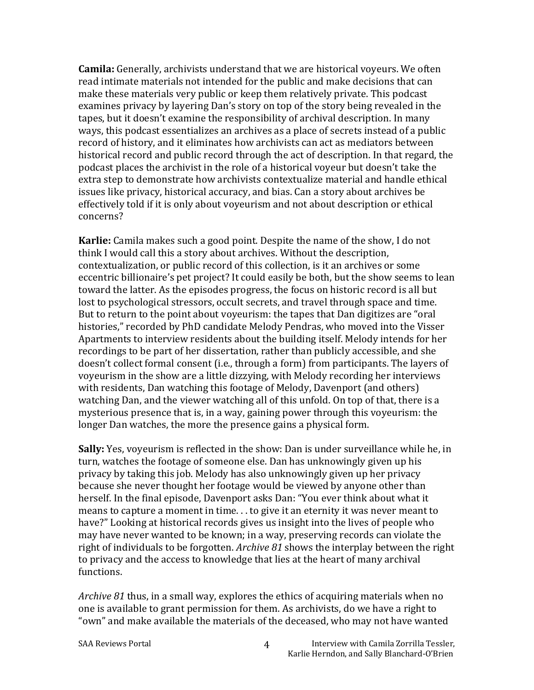**Camila:** Generally, archivists understand that we are historical voyeurs. We often read intimate materials not intended for the public and make decisions that can make these materials very public or keep them relatively private. This podcast examines privacy by layering Dan's story on top of the story being revealed in the tapes, but it doesn't examine the responsibility of archival description. In many ways, this podcast essentializes an archives as a place of secrets instead of a public record of history, and it eliminates how archivists can act as mediators between historical record and public record through the act of description. In that regard, the podcast places the archivist in the role of a historical voyeur but doesn't take the extra step to demonstrate how archivists contextualize material and handle ethical issues like privacy, historical accuracy, and bias. Can a story about archives be effectively told if it is only about voyeurism and not about description or ethical concerns?

**Karlie:** Camila makes such a good point. Despite the name of the show, I do not think I would call this a story about archives. Without the description, contextualization, or public record of this collection, is it an archives or some eccentric billionaire's pet project? It could easily be both, but the show seems to lean toward the latter. As the episodes progress, the focus on historic record is all but lost to psychological stressors, occult secrets, and travel through space and time. But to return to the point about voyeurism: the tapes that Dan digitizes are "oral histories," recorded by PhD candidate Melody Pendras, who moved into the Visser Apartments to interview residents about the building itself. Melody intends for her recordings to be part of her dissertation, rather than publicly accessible, and she doesn't collect formal consent (i.e., through a form) from participants. The layers of voyeurism in the show are a little dizzying, with Melody recording her interviews with residents, Dan watching this footage of Melody, Davenport (and others) watching Dan, and the viewer watching all of this unfold. On top of that, there is a mysterious presence that is, in a way, gaining power through this voyeurism: the longer Dan watches, the more the presence gains a physical form.

**Sally:** Yes, voyeurism is reflected in the show: Dan is under surveillance while he, in turn, watches the footage of someone else. Dan has unknowingly given up his privacy by taking this job. Melody has also unknowingly given up her privacy because she never thought her footage would be viewed by anyone other than herself. In the final episode, Davenport asks Dan: "You ever think about what it means to capture a moment in time. . . to give it an eternity it was never meant to have?" Looking at historical records gives us insight into the lives of people who may have never wanted to be known; in a way, preserving records can violate the right of individuals to be forgotten. *Archive 81* shows the interplay between the right to privacy and the access to knowledge that lies at the heart of many archival functions.

*Archive 81* thus, in a small way, explores the ethics of acquiring materials when no one is available to grant permission for them. As archivists, do we have a right to "own" and make available the materials of the deceased, who may not have wanted

4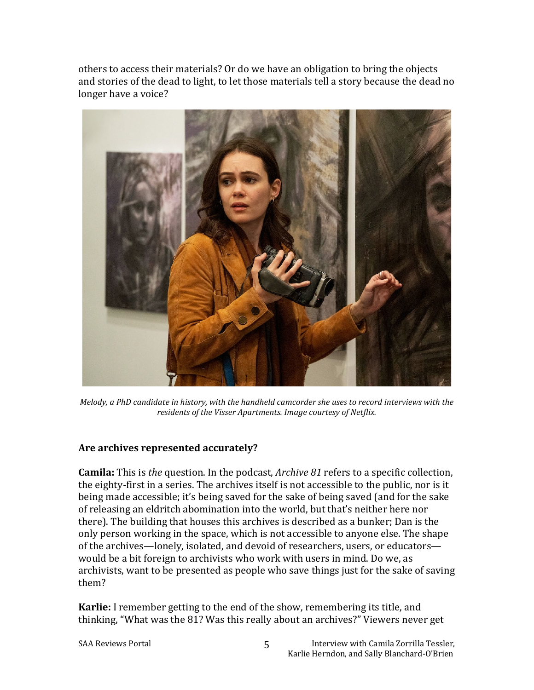others to access their materials? Or do we have an obligation to bring the objects and stories of the dead to light, to let those materials tell a story because the dead no longer have a voice?



*Melody, a PhD candidate in history, with the handheld camcorder she uses to record interviews with the residents of the Visser Apartments. Image courtesy of Netflix.*

## **Are archives represented accurately?**

**Camila:** This is *the* question. In the podcast, *Archive 81* refers to a specific collection, the eighty-first in a series. The archives itself is not accessible to the public, nor is it being made accessible; it's being saved for the sake of being saved (and for the sake of releasing an eldritch abomination into the world, but that's neither here nor there). The building that houses this archives is described as a bunker; Dan is the only person working in the space, which is not accessible to anyone else. The shape of the archives—lonely, isolated, and devoid of researchers, users, or educators would be a bit foreign to archivists who work with users in mind. Do we, as archivists, want to be presented as people who save things just for the sake of saving them?

**Karlie:** I remember getting to the end of the show, remembering its title, and thinking, "What was the 81? Was this really about an archives?" Viewers never get

5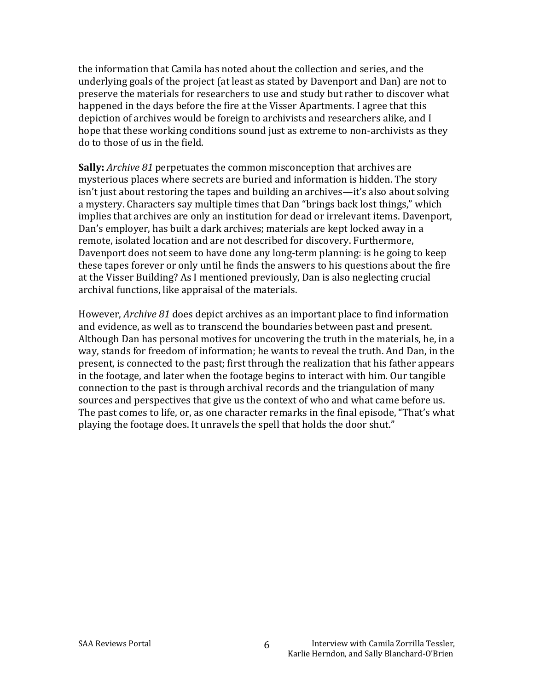the information that Camila has noted about the collection and series, and the underlying goals of the project (at least as stated by Davenport and Dan) are not to preserve the materials for researchers to use and study but rather to discover what happened in the days before the fire at the Visser Apartments. I agree that this depiction of archives would be foreign to archivists and researchers alike, and I hope that these working conditions sound just as extreme to non-archivists as they do to those of us in the field.

**Sally:** *Archive 81* perpetuates the common misconception that archives are mysterious places where secrets are buried and information is hidden. The story isn't just about restoring the tapes and building an archives—it's also about solving a mystery. Characters say multiple times that Dan "brings back lost things," which implies that archives are only an institution for dead or irrelevant items. Davenport, Dan's employer, has built a dark archives; materials are kept locked away in a remote, isolated location and are not described for discovery. Furthermore, Davenport does not seem to have done any long-term planning: is he going to keep these tapes forever or only until he finds the answers to his questions about the fire at the Visser Building? As I mentioned previously, Dan is also neglecting crucial archival functions, like appraisal of the materials.

However, *Archive 81* does depict archives as an important place to find information and evidence, as well as to transcend the boundaries between past and present. Although Dan has personal motives for uncovering the truth in the materials, he, in a way, stands for freedom of information; he wants to reveal the truth. And Dan, in the present, is connected to the past; first through the realization that his father appears in the footage, and later when the footage begins to interact with him. Our tangible connection to the past is through archival records and the triangulation of many sources and perspectives that give us the context of who and what came before us. The past comes to life, or, as one character remarks in the final episode, "That's what playing the footage does. It unravels the spell that holds the door shut."